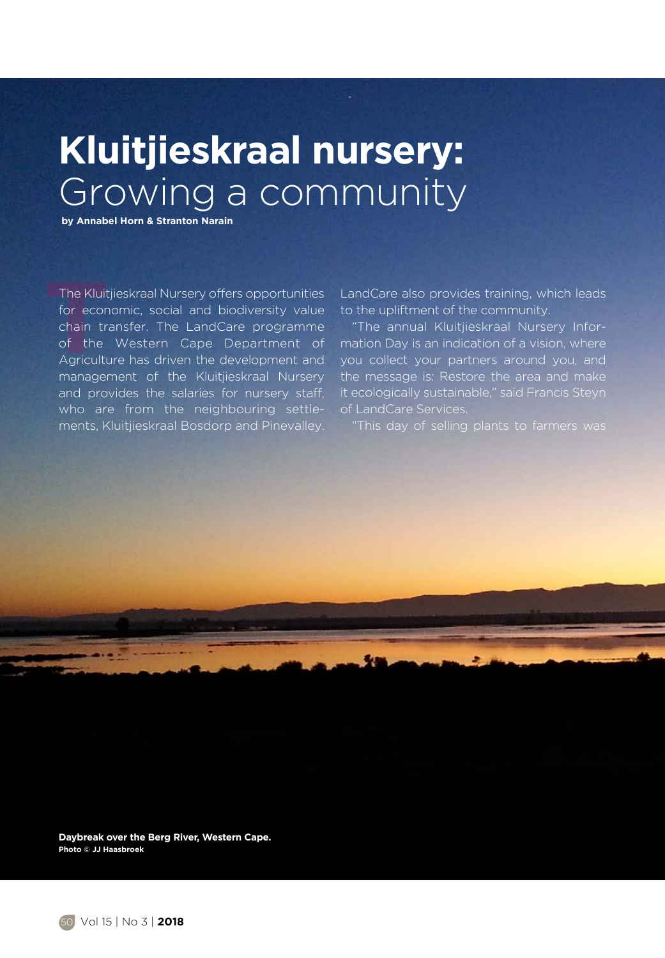## **Kluitjieskraal nursery:**  Growing a community

 **by Annabel Horn & Stranton Narain**

The Kluitjieskraal Nursery offers opportunities<br>
for economic, social and biodiversity value<br>
chain transfer. The LandCare programme<br>
of the Western Cape Department of<br>
Agriculture has driven the development and<br>
managemen The Kluitjieskraal Nursery offers opportunities for economic, social and biodiversity value chain transfer. The LandCare programme of the Western Cape Department of management of the Kluitjieskraal Nursery and provides the salaries for nursery staff, who are from the neighbouring settlements, Kluitjieskraal Bosdorp and Pinevalley.

LandCare also provides training, which leads to the upliftment of the community.

"The annual Kluitjieskraal Nursery Information Day is an indication of a vision, where you collect your partners around you, and the message is: Restore the area and make it ecologically sustainable," said Francis Steyn

**Daybreak over the Berg River, Western Cape. Photo © JJ Haasbroek**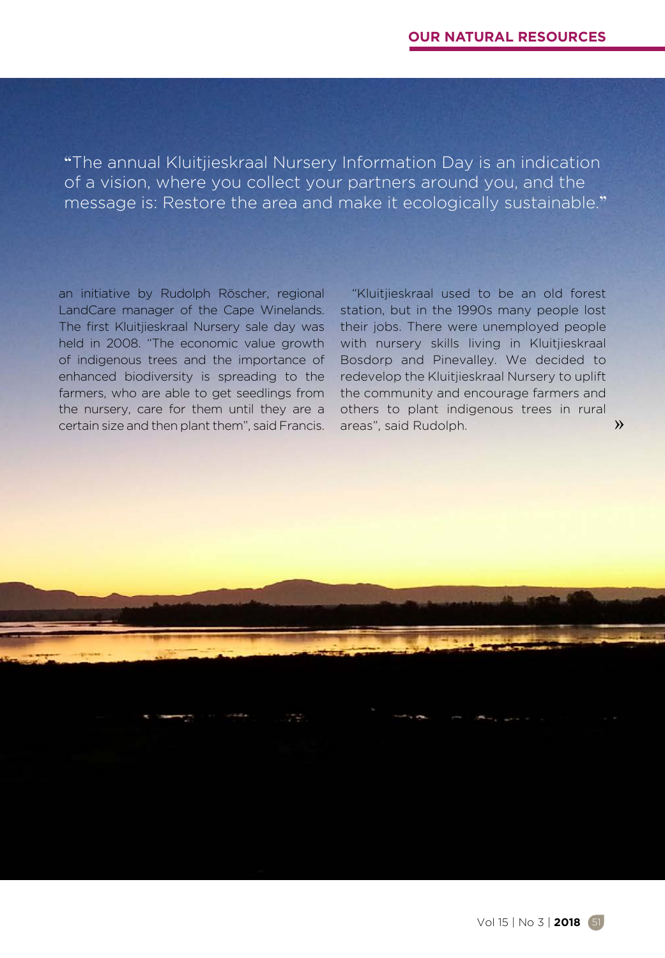**"**The annual Kluitjieskraal Nursery Information Day is an indication of a vision, where you collect your partners around you, and the message is: Restore the area and make it ecologically sustainable.**"**

an initiative by Rudolph Röscher, regional LandCare manager of the Cape Winelands. The first Kluitjieskraal Nursery sale day was held in 2008. "The economic value growth of indigenous trees and the importance of enhanced biodiversity is spreading to the farmers, who are able to get seedlings from the nursery, care for them until they are a certain size and then plant them", said Francis.

"Kluitjieskraal used to be an old forest station, but in the 1990s many people lost their jobs. There were unemployed people with nursery skills living in Kluitjieskraal Bosdorp and Pinevalley. We decided to redevelop the Kluitjieskraal Nursery to uplift the community and encourage farmers and others to plant indigenous trees in rural areas", said Rudolph.

»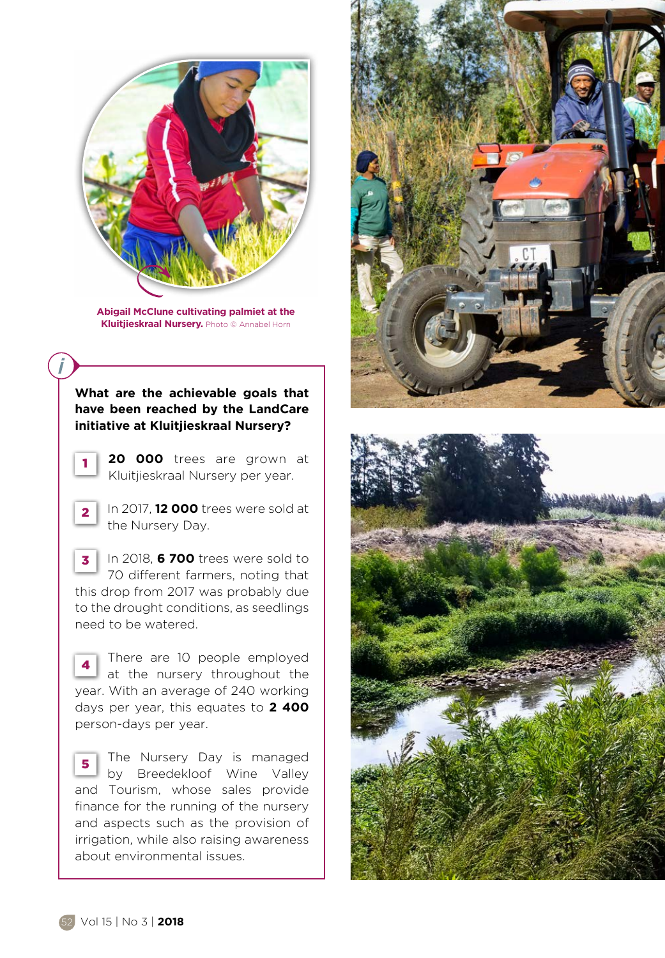

**Abigail McClune cultivating palmiet at the Kluitjieskraal Nursery.** Photo © Annabel Horn

## **What are the achievable goals that have been reached by the LandCare initiative at Kluitjieskraal Nursery?**

1

- **20 000** trees are grown at Kluitjieskraal Nursery per year.
- In 2017, **12 000** trees were sold at the Nursery Day. 2
- In 2018, **6 700** trees were sold to 70 different farmers, noting that this drop from 2017 was probably due to the drought conditions, as seedlings need to be watered. 3
- There are 10 people employed at the nursery throughout the year. With an average of 240 working days per year, this equates to **2 400** person-days per year. 4

The Nursery Day is managed by Breedekloof Wine Valley and Tourism, whose sales provide finance for the running of the nursery and aspects such as the provision of irrigation, while also raising awareness about environmental issues. 5



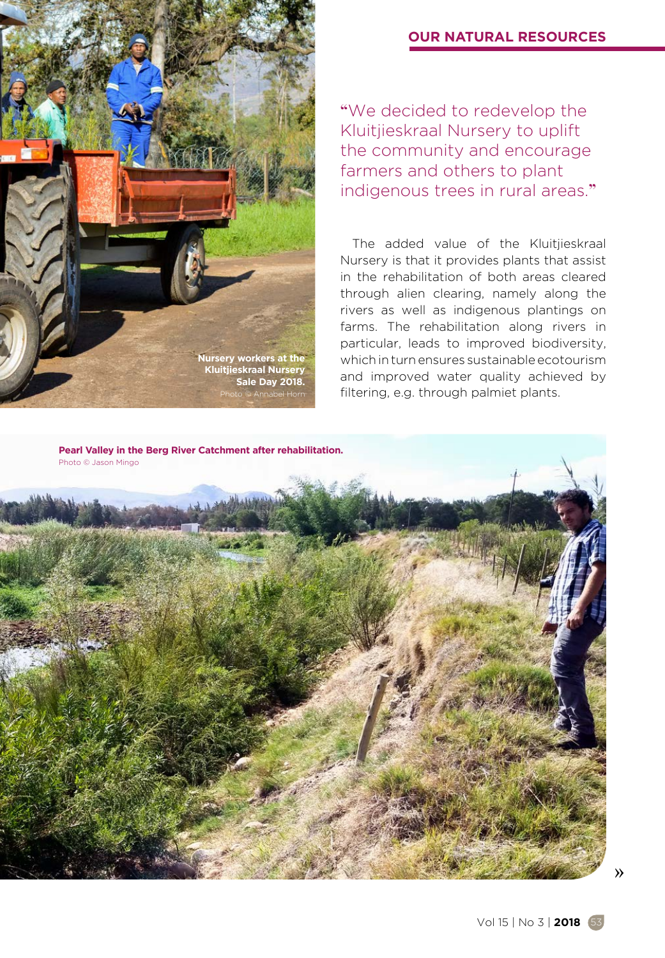## **OUR NATURAL RESOURCES**



**"**We decided to redevelop the Kluitjieskraal Nursery to uplift the community and encourage farmers and others to plant indigenous trees in rural areas.**"**

The added value of the Kluitjieskraal Nursery is that it provides plants that assist in the rehabilitation of both areas cleared through alien clearing, namely along the rivers as well as indigenous plantings on farms. The rehabilitation along rivers in particular, leads to improved biodiversity, which in turn ensures sustainable ecotourism and improved water quality achieved by filtering, e.g. through palmiet plants.